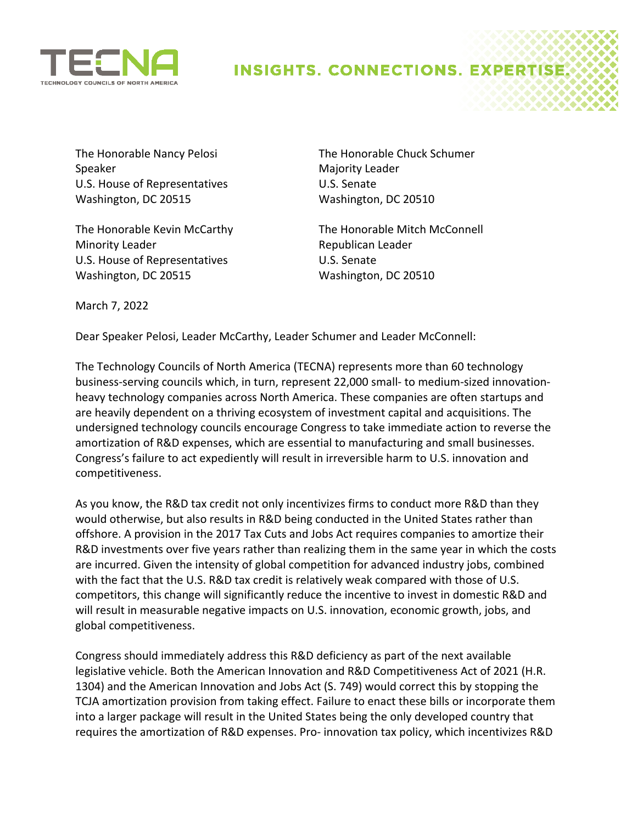

## **INSIGHTS. CONNECTIONS. EXPERTISE**

The Honorable Nancy Pelosi Speaker U.S. House of Representatives Washington, DC 20515

The Honorable Kevin McCarthy Minority Leader U.S. House of Representatives Washington, DC 20515

The Honorable Chuck Schumer Majority Leader U.S. Senate Washington, DC 20510

The Honorable Mitch McConnell Republican Leader U.S. Senate Washington, DC 20510

March 7, 2022

Dear Speaker Pelosi, Leader McCarthy, Leader Schumer and Leader McConnell:

The Technology Councils of North America (TECNA) represents more than 60 technology business-serving councils which, in turn, represent 22,000 small- to medium-sized innovationheavy technology companies across North America. These companies are often startups and are heavily dependent on a thriving ecosystem of investment capital and acquisitions. The undersigned technology councils encourage Congress to take immediate action to reverse the amortization of R&D expenses, which are essential to manufacturing and small businesses. Congress's failure to act expediently will result in irreversible harm to U.S. innovation and competitiveness.

As you know, the R&D tax credit not only incentivizes firms to conduct more R&D than they would otherwise, but also results in R&D being conducted in the United States rather than offshore. A provision in the 2017 Tax Cuts and Jobs Act requires companies to amortize their R&D investments over five years rather than realizing them in the same year in which the costs are incurred. Given the intensity of global competition for advanced industry jobs, combined with the fact that the U.S. R&D tax credit is relatively weak compared with those of U.S. competitors, this change will significantly reduce the incentive to invest in domestic R&D and will result in measurable negative impacts on U.S. innovation, economic growth, jobs, and global competitiveness.

Congress should immediately address this R&D deficiency as part of the next available legislative vehicle. Both the American Innovation and R&D Competitiveness Act of 2021 (H.R. 1304) and the American Innovation and Jobs Act (S. 749) would correct this by stopping the TCJA amortization provision from taking effect. Failure to enact these bills or incorporate them into a larger package will result in the United States being the only developed country that requires the amortization of R&D expenses. Pro- innovation tax policy, which incentivizes R&D